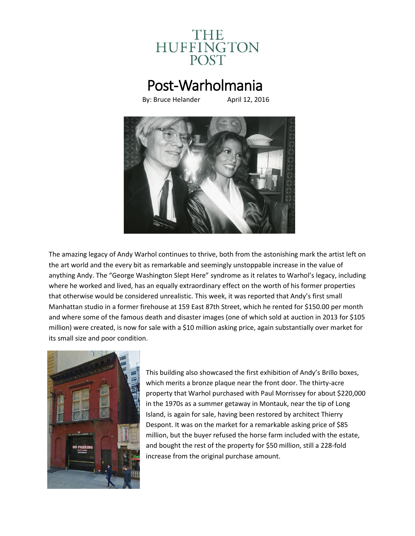

## Post-Warholmania

By: Bruce Helander April 12, 2016



The amazing legacy of Andy Warhol continues to thrive, both from the astonishing mark the artist left on the art world and the every bit as remarkable and seemingly unstoppable increase in the value of anything Andy. The "George Washington Slept Here" syndrome as it relates to Warhol's legacy, including where he worked and lived, has an equally extraordinary effect on the worth of his former properties that otherwise would be considered unrealistic. This week, it was reported that Andy's first small Manhattan studio in a former firehouse at 159 East 87th Street, which he rented for \$150.00 per month and where some of the famous death and disaster images (one of which sold at auction in 2013 for \$105 million) were created, is now for sale with a \$10 million asking price, again substantially over market for its small size and poor condition.



This building also showcased the first exhibition of Andy's Brillo boxes, which merits a bronze plaque near the front door. The thirty-acre property that Warhol purchased with Paul Morrissey for about \$220,000 in the 1970s as a summer getaway in Montauk, near the tip of Long Island, is again for sale, having been restored by architect Thierry Despont. It was on the market for a remarkable asking price of \$85 million, but the buyer refused the horse farm included with the estate, and bought the rest of the property for \$50 million, still a 228-fold increase from the original purchase amount.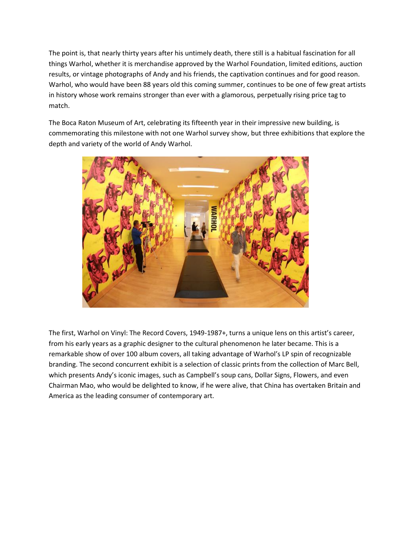The point is, that nearly thirty years after his untimely death, there still is a habitual fascination for all things Warhol, whether it is merchandise approved by the Warhol Foundation, limited editions, auction results, or vintage photographs of Andy and his friends, the captivation continues and for good reason. Warhol, who would have been 88 years old this coming summer, continues to be one of few great artists in history whose work remains stronger than ever with a glamorous, perpetually rising price tag to match.

The Boca Raton Museum of Art, celebrating its fifteenth year in their impressive new building, is commemorating this milestone with not one Warhol survey show, but three exhibitions that explore the depth and variety of the world of Andy Warhol.



The first, Warhol on Vinyl: The Record Covers, 1949-1987+, turns a unique lens on this artist's career, from his early years as a graphic designer to the cultural phenomenon he later became. This is a remarkable show of over 100 album covers, all taking advantage of Warhol's LP spin of recognizable branding. The second concurrent exhibit is a selection of classic prints from the collection of Marc Bell, which presents Andy's iconic images, such as Campbell's soup cans, Dollar Signs, Flowers, and even Chairman Mao, who would be delighted to know, if he were alive, that China has overtaken Britain and America as the leading consumer of contemporary art.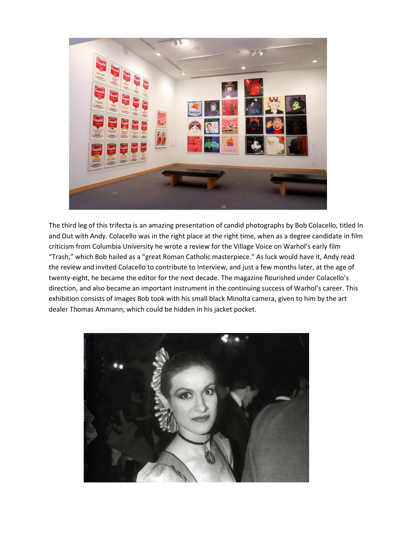

The third leg of this trifecta is an amazing presentation of candid photographs by Bob Colacello, titled In and Out with Andy. Colacello was in the right place at the right time, when as a degree candidate in film criticism from Columbia University he wrote a review for the Village Voice on Warhol's early film "Trash," which Bob hailed as a "great Roman Catholic masterpiece." As luck would have it, Andy read the review and invited Colacello to contribute to Interview, and just a few months later, at the age of twenty-eight, he became the editor for the next decade. The magazine flourished under Colacello's direction, and also became an important instrument in the continuing success of Warhol's career. This exhibition consists of images Bob took with his small black Minolta camera, given to him by the art dealer Thomas Ammann, which could be hidden in his jacket pocket.

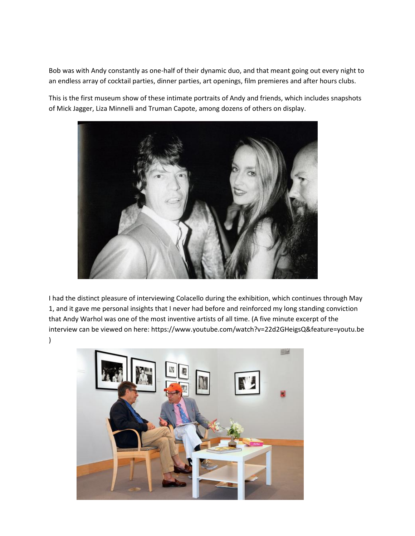Bob was with Andy constantly as one-half of their dynamic duo, and that meant going out every night to an endless array of cocktail parties, dinner parties, art openings, film premieres and after hours clubs.

This is the first museum show of these intimate portraits of Andy and friends, which includes snapshots of Mick Jagger, Liza Minnelli and Truman Capote, among dozens of others on display.



I had the distinct pleasure of interviewing Colacello during the exhibition, which continues through May 1, and it gave me personal insights that I never had before and reinforced my long standing conviction that Andy Warhol was one of the most inventive artists of all time. (A five minute excerpt of the interview can be viewed on here: https://www.youtube.com/watch?v=22d2GHeigsQ&feature=youtu.be  $\lambda$